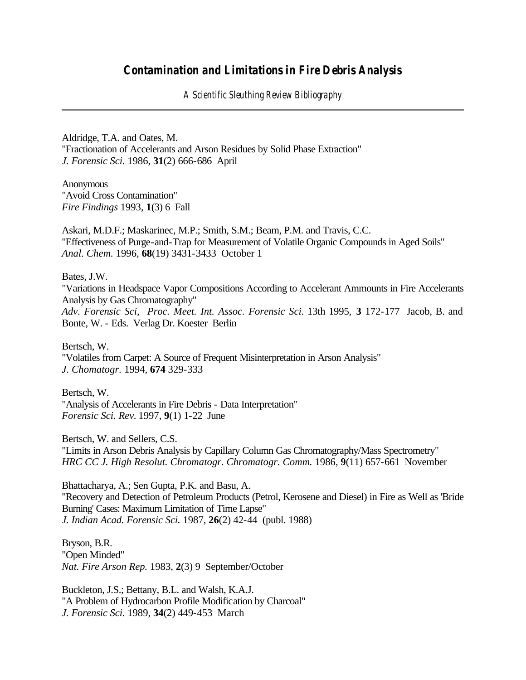## *Contamination and Limitations in Fire Debris Analysis*

*A Scientific Sleuthing Review Bibliography*

Aldridge, T.A. and Oates, M. "Fractionation of Accelerants and Arson Residues by Solid Phase Extraction" *J. Forensic Sci.* 1986, **31**(2) 666-686 April

**Anonymous** "Avoid Cross Contamination" *Fire Findings* 1993, **1**(3) 6 Fall

Askari, M.D.F.; Maskarinec, M.P.; Smith, S.M.; Beam, P.M. and Travis, C.C. "Effectiveness of Purge-and-Trap for Measurement of Volatile Organic Compounds in Aged Soils" *Anal. Chem.* 1996, **68**(19) 3431-3433 October 1

Bates, J.W. "Variations in Headspace Vapor Compositions According to Accelerant Ammounts in Fire Accelerants Analysis by Gas Chromatography" *Adv. Forensic Sci, Proc. Meet. Int. Assoc. Forensic Sci.* 13th 1995, **3** 172-177 Jacob, B. and Bonte, W. - Eds. Verlag Dr. Koester Berlin

Bertsch, W. "Volatiles from Carpet: A Source of Frequent Misinterpretation in Arson Analysis" *J. Chomatogr.* 1994, **674** 329-333

Bertsch, W. "Analysis of Accelerants in Fire Debris - Data Interpretation" *Forensic Sci. Rev.* 1997, **9**(1) 1-22 June

Bertsch, W. and Sellers, C.S. "Limits in Arson Debris Analysis by Capillary Column Gas Chromatography/Mass Spectrometry" *HRC CC J. High Resolut. Chromatogr. Chromatogr. Comm.* 1986, **9**(11) 657-661 November

Bhattacharya, A.; Sen Gupta, P.K. and Basu, A. "Recovery and Detection of Petroleum Products (Petrol, Kerosene and Diesel) in Fire as Well as 'Bride Burning' Cases: Maximum Limitation of Time Lapse" *J. Indian Acad. Forensic Sci.* 1987, **26**(2) 42-44 (publ. 1988)

Bryson, B.R. "Open Minded" *Nat. Fire Arson Rep.* 1983, **2**(3) 9 September/October

Buckleton, J.S.; Bettany, B.L. and Walsh, K.A.J. "A Problem of Hydrocarbon Profile Modification by Charcoal" *J. Forensic Sci.* 1989, **34**(2) 449-453 March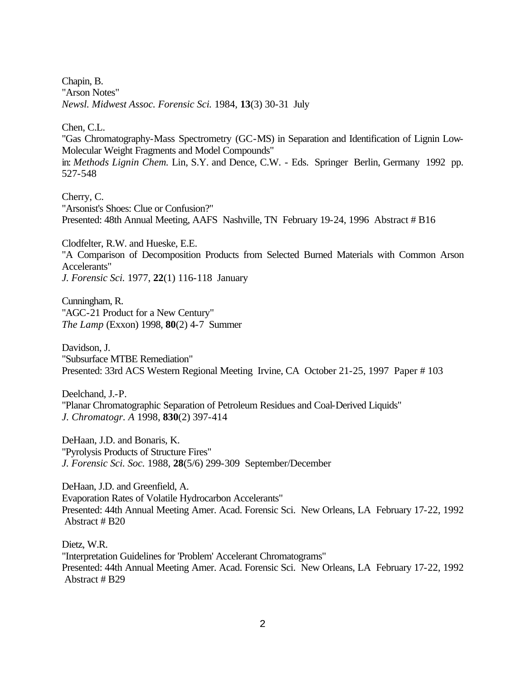Chapin, B. "Arson Notes" *Newsl. Midwest Assoc. Forensic Sci.* 1984, **13**(3) 30-31 July

Chen, C.L.

"Gas Chromatography-Mass Spectrometry (GC-MS) in Separation and Identification of Lignin Low-Molecular Weight Fragments and Model Compounds" in: *Methods Lignin Chem.* Lin, S.Y. and Dence, C.W. - Eds. Springer Berlin, Germany 1992 pp. 527-548

Cherry, C. "Arsonist's Shoes: Clue or Confusion?" Presented: 48th Annual Meeting, AAFS Nashville, TN February 19-24, 1996 Abstract # B16

Clodfelter, R.W. and Hueske, E.E. "A Comparison of Decomposition Products from Selected Burned Materials with Common Arson Accelerants" *J. Forensic Sci.* 1977, **22**(1) 116-118 January

Cunningham, R. "AGC-21 Product for a New Century" *The Lamp* (Exxon) 1998, **80**(2) 4-7 Summer

Davidson, J. "Subsurface MTBE Remediation" Presented: 33rd ACS Western Regional Meeting Irvine, CA October 21-25, 1997 Paper # 103

Deelchand, J.-P. "Planar Chromatographic Separation of Petroleum Residues and Coal-Derived Liquids" *J. Chromatogr. A* 1998, **830**(2) 397-414

DeHaan, J.D. and Bonaris, K. "Pyrolysis Products of Structure Fires" *J. Forensic Sci. Soc.* 1988, **28**(5/6) 299-309 September/December

DeHaan, J.D. and Greenfield, A. Evaporation Rates of Volatile Hydrocarbon Accelerants" Presented: 44th Annual Meeting Amer. Acad. Forensic Sci. New Orleans, LA February 17-22, 1992 Abstract # B20

Dietz, W.R. "Interpretation Guidelines for 'Problem' Accelerant Chromatograms" Presented: 44th Annual Meeting Amer. Acad. Forensic Sci. New Orleans, LA February 17-22, 1992 Abstract # B29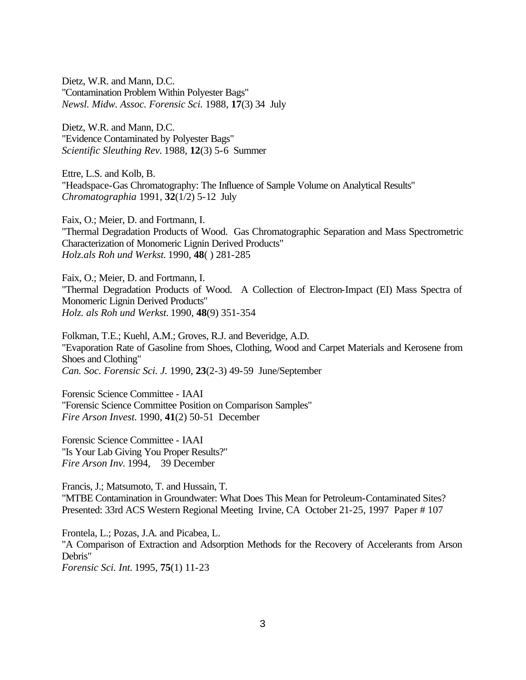Dietz, W.R. and Mann, D.C. "Contamination Problem Within Polyester Bags" *Newsl. Midw. Assoc. Forensic Sci.* 1988, **17**(3) 34 July

Dietz, W.R. and Mann, D.C. "Evidence Contaminated by Polyester Bags" *Scientific Sleuthing Rev.* 1988, **12**(3) 5-6 Summer

Ettre, L.S. and Kolb, B. "Headspace-Gas Chromatography: The Influence of Sample Volume on Analytical Results" *Chromatographia* 1991, **32**(1/2) 5-12 July

Faix, O.; Meier, D. and Fortmann, I. "Thermal Degradation Products of Wood. Gas Chromatographic Separation and Mass Spectrometric Characterization of Monomeric Lignin Derived Products" *Holz.als Roh und Werkst.* 1990, **48**( ) 281-285

Faix, O.; Meier, D. and Fortmann, I. "Thermal Degradation Products of Wood. A Collection of Electron-Impact (EI) Mass Spectra of Monomeric Lignin Derived Products" *Holz. als Roh und Werkst.* 1990, **48**(9) 351-354

Folkman, T.E.; Kuehl, A.M.; Groves, R.J. and Beveridge, A.D. "Evaporation Rate of Gasoline from Shoes, Clothing, Wood and Carpet Materials and Kerosene from Shoes and Clothing" *Can. Soc. Forensic Sci. J.* 1990, **23**(2-3) 49-59 June/September

Forensic Science Committee - IAAI "Forensic Science Committee Position on Comparison Samples" *Fire Arson Invest.* 1990, **41**(2) 50-51 December

Forensic Science Committee - IAAI "Is Your Lab Giving You Proper Results?" *Fire Arson Inv.* 1994, 39 December

Francis, J.; Matsumoto, T. and Hussain, T. "MTBE Contamination in Groundwater: What Does This Mean for Petroleum-Contaminated Sites? Presented: 33rd ACS Western Regional Meeting Irvine, CA October 21-25, 1997 Paper # 107

Frontela, L.; Pozas, J.A. and Picabea, L. "A Comparison of Extraction and Adsorption Methods for the Recovery of Accelerants from Arson Debris" *Forensic Sci. Int.* 1995, **75**(1) 11-23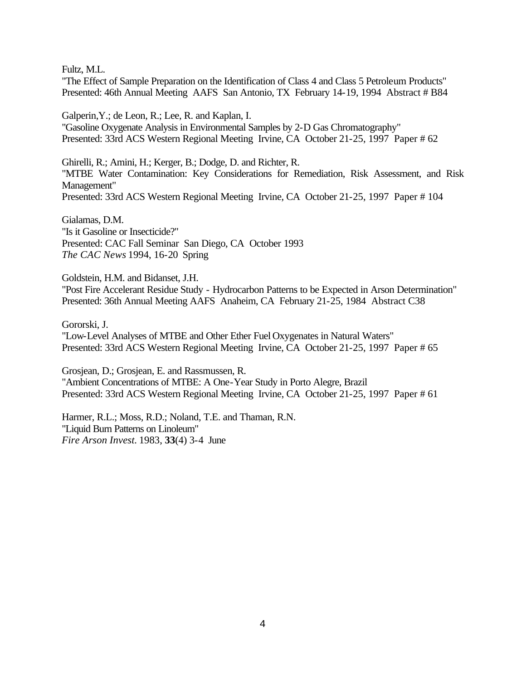Fultz, M.L.

"The Effect of Sample Preparation on the Identification of Class 4 and Class 5 Petroleum Products" Presented: 46th Annual Meeting AAFS San Antonio, TX February 14-19, 1994 Abstract # B84

Galperin,Y.; de Leon, R.; Lee, R. and Kaplan, I. "Gasoline Oxygenate Analysis in Environmental Samples by 2-D Gas Chromatography" Presented: 33rd ACS Western Regional Meeting Irvine, CA October 21-25, 1997 Paper # 62

Ghirelli, R.; Amini, H.; Kerger, B.; Dodge, D. and Richter, R. "MTBE Water Contamination: Key Considerations for Remediation, Risk Assessment, and Risk Management" Presented: 33rd ACS Western Regional Meeting Irvine, CA October 21-25, 1997 Paper # 104

Gialamas, D.M. "Is it Gasoline or Insecticide?" Presented: CAC Fall Seminar San Diego, CA October 1993 *The CAC News* 1994, 16-20 Spring

Goldstein, H.M. and Bidanset, J.H. "Post Fire Accelerant Residue Study - Hydrocarbon Patterns to be Expected in Arson Determination" Presented: 36th Annual Meeting AAFS Anaheim, CA February 21-25, 1984 Abstract C38

Gororski, J.

"Low-Level Analyses of MTBE and Other Ether Fuel Oxygenates in Natural Waters" Presented: 33rd ACS Western Regional Meeting Irvine, CA October 21-25, 1997 Paper # 65

Grosjean, D.; Grosjean, E. and Rassmussen, R. "Ambient Concentrations of MTBE: A One-Year Study in Porto Alegre, Brazil Presented: 33rd ACS Western Regional Meeting Irvine, CA October 21-25, 1997 Paper # 61

Harmer, R.L.; Moss, R.D.; Noland, T.E. and Thaman, R.N. "Liquid Burn Patterns on Linoleum" *Fire Arson Invest.* 1983, **33**(4) 3-4 June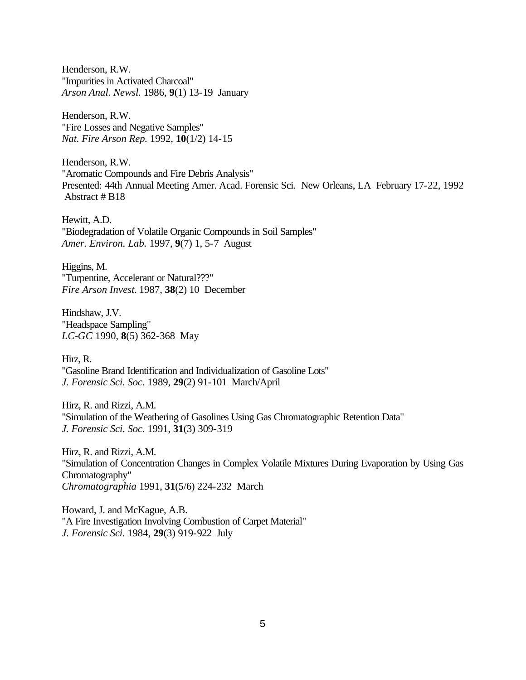Henderson, R.W. "Impurities in Activated Charcoal" *Arson Anal. Newsl.* 1986, **9**(1) 13-19 January

Henderson, R.W. "Fire Losses and Negative Samples" *Nat. Fire Arson Rep.* 1992, **10**(1/2) 14-15

Henderson, R.W. "Aromatic Compounds and Fire Debris Analysis" Presented: 44th Annual Meeting Amer. Acad. Forensic Sci. New Orleans, LA February 17-22, 1992 Abstract # B18

Hewitt, A.D. "Biodegradation of Volatile Organic Compounds in Soil Samples" *Amer. Environ. Lab.* 1997, **9**(7) 1, 5-7 August

Higgins, M. "Turpentine, Accelerant or Natural???" *Fire Arson Invest.* 1987, **38**(2) 10 December

Hindshaw, J.V. "Headspace Sampling" *LC-GC* 1990, **8**(5) 362-368 May

Hirz, R. "Gasoline Brand Identification and Individualization of Gasoline Lots" *J. Forensic Sci. Soc.* 1989, **29**(2) 91-101 March/April

Hirz, R. and Rizzi, A.M. "Simulation of the Weathering of Gasolines Using Gas Chromatographic Retention Data" *J. Forensic Sci. Soc.* 1991, **31**(3) 309-319

Hirz, R. and Rizzi, A.M. "Simulation of Concentration Changes in Complex Volatile Mixtures During Evaporation by Using Gas Chromatography" *Chromatographia* 1991, **31**(5/6) 224-232 March

Howard, J. and McKague, A.B. "A Fire Investigation Involving Combustion of Carpet Material" *J. Forensic Sci.* 1984, **29**(3) 919-922 July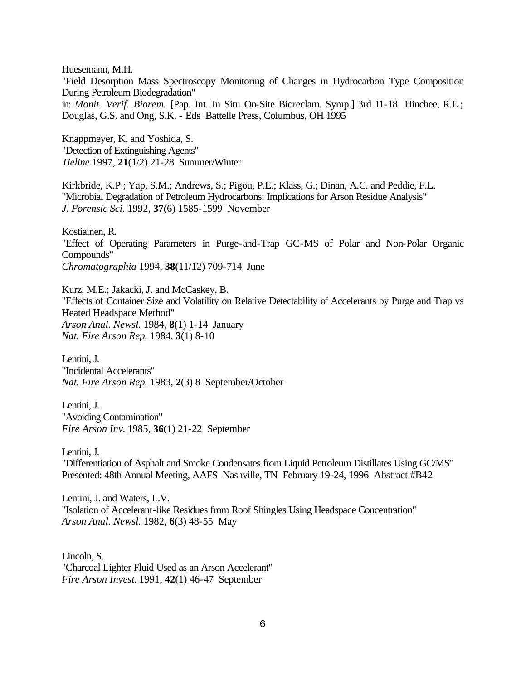Huesemann, M.H.

"Field Desorption Mass Spectroscopy Monitoring of Changes in Hydrocarbon Type Composition During Petroleum Biodegradation"

in: *Monit. Verif. Biorem.* [Pap. Int. In Situ On-Site Bioreclam. Symp.] 3rd 11-18 Hinchee, R.E.; Douglas, G.S. and Ong, S.K. - Eds Battelle Press, Columbus, OH 1995

Knappmeyer, K. and Yoshida, S. "Detection of Extinguishing Agents" *Tieline* 1997, **21**(1/2) 21-28 Summer/Winter

Kirkbride, K.P.; Yap, S.M.; Andrews, S.; Pigou, P.E.; Klass, G.; Dinan, A.C. and Peddie, F.L. "Microbial Degradation of Petroleum Hydrocarbons: Implications for Arson Residue Analysis" *J. Forensic Sci.* 1992, **37**(6) 1585-1599 November

Kostiainen, R. "Effect of Operating Parameters in Purge-and-Trap GC-MS of Polar and Non-Polar Organic Compounds" *Chromatographia* 1994, **38**(11/12) 709-714 June

Kurz, M.E.; Jakacki, J. and McCaskey, B. "Effects of Container Size and Volatility on Relative Detectability of Accelerants by Purge and Trap vs Heated Headspace Method" *Arson Anal. Newsl.* 1984, **8**(1) 1-14 January *Nat. Fire Arson Rep.* 1984, **3**(1) 8-10

Lentini, J. "Incidental Accelerants" *Nat. Fire Arson Rep.* 1983, **2**(3) 8 September/October

Lentini, J. "Avoiding Contamination" *Fire Arson Inv.* 1985, **36**(1) 21-22 September

Lentini, J.

"Differentiation of Asphalt and Smoke Condensates from Liquid Petroleum Distillates Using GC/MS" Presented: 48th Annual Meeting, AAFS Nashville, TN February 19-24, 1996 Abstract #B42

Lentini, J. and Waters, L.V. "Isolation of Accelerant-like Residues from Roof Shingles Using Headspace Concentration" *Arson Anal. Newsl.* 1982, **6**(3) 48-55 May

Lincoln, S. "Charcoal Lighter Fluid Used as an Arson Accelerant" *Fire Arson Invest.* 1991, **42**(1) 46-47 September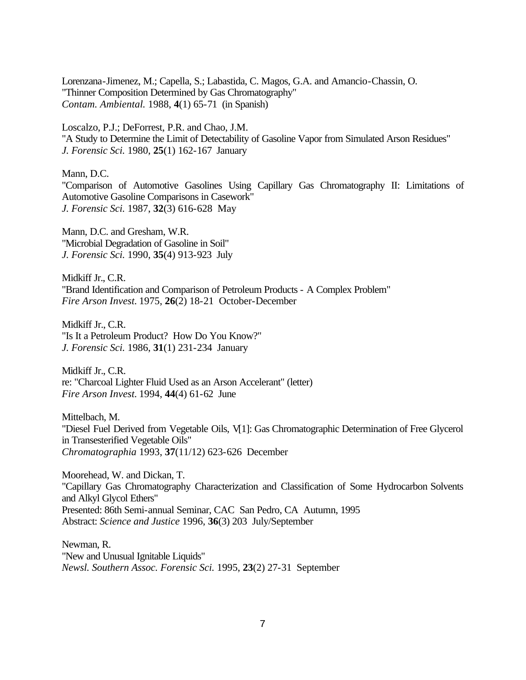Lorenzana-Jimenez, M.; Capella, S.; Labastida, C. Magos, G.A. and Amancio-Chassin, O. "Thinner Composition Determined by Gas Chromatography" *Contam. Ambiental.* 1988, **4**(1) 65-71 (in Spanish)

Loscalzo, P.J.; DeForrest, P.R. and Chao, J.M. "A Study to Determine the Limit of Detectability of Gasoline Vapor from Simulated Arson Residues" *J. Forensic Sci.* 1980, **25**(1) 162-167 January

Mann, D.C.

"Comparison of Automotive Gasolines Using Capillary Gas Chromatography II: Limitations of Automotive Gasoline Comparisons in Casework" *J. Forensic Sci.* 1987, **32**(3) 616-628 May

Mann, D.C. and Gresham, W.R. "Microbial Degradation of Gasoline in Soil" *J. Forensic Sci.* 1990, **35**(4) 913-923 July

Midkiff Jr., C.R. "Brand Identification and Comparison of Petroleum Products - A Complex Problem" *Fire Arson Invest.* 1975, **26**(2) 18-21 October-December

Midkiff Jr., C.R. "Is It a Petroleum Product? How Do You Know?" *J. Forensic Sci.* 1986, **31**(1) 231-234 January

Midkiff Jr., C.R. re: "Charcoal Lighter Fluid Used as an Arson Accelerant" (letter) *Fire Arson Invest.* 1994, **44**(4) 61-62 June

Mittelbach, M. "Diesel Fuel Derived from Vegetable Oils, V[1]: Gas Chromatographic Determination of Free Glycerol in Transesterified Vegetable Oils" *Chromatographia* 1993, **37**(11/12) 623-626 December

Moorehead, W. and Dickan, T. "Capillary Gas Chromatography Characterization and Classification of Some Hydrocarbon Solvents and Alkyl Glycol Ethers" Presented: 86th Semi-annual Seminar, CAC San Pedro, CA Autumn, 1995 Abstract: *Science and Justice* 1996, **36**(3) 203 July/September

Newman, R. "New and Unusual Ignitable Liquids" *Newsl. Southern Assoc. Forensic Sci.* 1995, **23**(2) 27-31 September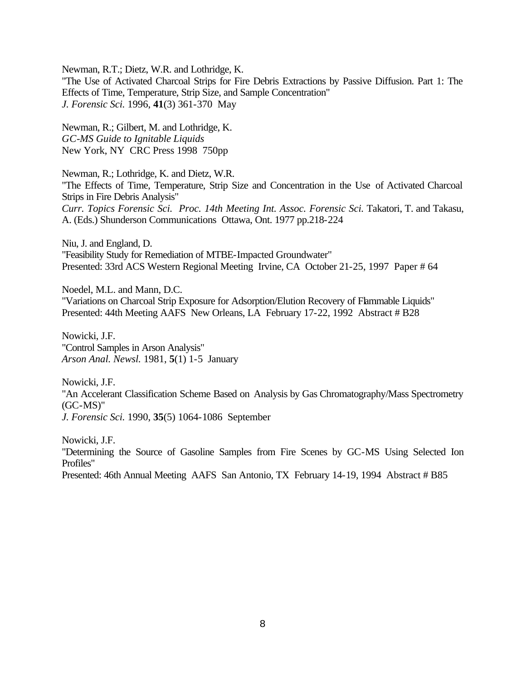Newman, R.T.; Dietz, W.R. and Lothridge, K.

"The Use of Activated Charcoal Strips for Fire Debris Extractions by Passive Diffusion. Part 1: The Effects of Time, Temperature, Strip Size, and Sample Concentration" *J. Forensic Sci.* 1996, **41**(3) 361-370 May

Newman, R.; Gilbert, M. and Lothridge, K. *GC-MS Guide to Ignitable Liquids* New York, NY CRC Press 1998 750pp

Newman, R.; Lothridge, K. and Dietz, W.R. "The Effects of Time, Temperature, Strip Size and Concentration in the Use of Activated Charcoal Strips in Fire Debris Analysis" *Curr. Topics Forensic Sci. Proc. 14th Meeting Int. Assoc. Forensic Sci.* Takatori, T. and Takasu, A. (Eds.) Shunderson Communications Ottawa, Ont. 1977 pp.218-224

Niu, J. and England, D. "Feasibility Study for Remediation of MTBE-Impacted Groundwater" Presented: 33rd ACS Western Regional Meeting Irvine, CA October 21-25, 1997 Paper # 64

Noedel, M.L. and Mann, D.C. "Variations on Charcoal Strip Exposure for Adsorption/Elution Recovery of Flammable Liquids" Presented: 44th Meeting AAFS New Orleans, LA February 17-22, 1992 Abstract # B28

Nowicki, J.F. "Control Samples in Arson Analysis" *Arson Anal. Newsl.* 1981, **5**(1) 1-5 January

Nowicki, J.F. "An Accelerant Classification Scheme Based on Analysis by Gas Chromatography/Mass Spectrometry (GC-MS)" *J. Forensic Sci.* 1990, **35**(5) 1064-1086 September

Nowicki, J.F. "Determining the Source of Gasoline Samples from Fire Scenes by GC-MS Using Selected Ion Profiles" Presented: 46th Annual Meeting AAFS San Antonio, TX February 14-19, 1994 Abstract # B85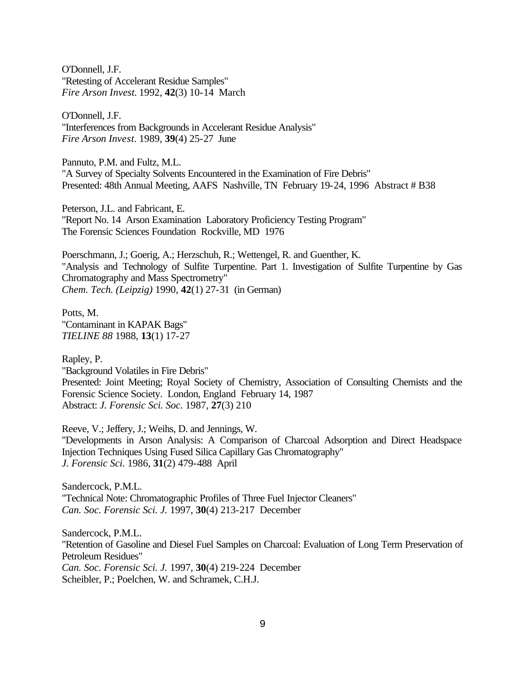O'Donnell, J.F. "Retesting of Accelerant Residue Samples" *Fire Arson Invest.* 1992, **42**(3) 10-14 March

O'Donnell, J.F. "Interferences from Backgrounds in Accelerant Residue Analysis" *Fire Arson Invest.* 1989, **39**(4) 25-27 June

Pannuto, P.M. and Fultz, M.L. "A Survey of Specialty Solvents Encountered in the Examination of Fire Debris" Presented: 48th Annual Meeting, AAFS Nashville, TN February 19-24, 1996 Abstract # B38

Peterson, J.L. and Fabricant, E. "Report No. 14 Arson Examination Laboratory Proficiency Testing Program" The Forensic Sciences Foundation Rockville, MD 1976

Poerschmann, J.; Goerig, A.; Herzschuh, R.; Wettengel, R. and Guenther, K. "Analysis and Technology of Sulfite Turpentine. Part 1. Investigation of Sulfite Turpentine by Gas Chromatography and Mass Spectrometry" *Chem. Tech. (Leipzig)* 1990, **42**(1) 27-31 (in German)

Potts, M. "Contaminant in KAPAK Bags" *TIELINE 88* 1988, **13**(1) 17-27

Rapley, P. "Background Volatiles in Fire Debris" Presented: Joint Meeting; Royal Society of Chemistry, Association of Consulting Chemists and the Forensic Science Society. London, England February 14, 1987 Abstract: *J. Forensic Sci. Soc.* 1987, **27**(3) 210

Reeve, V.; Jeffery, J.; Weihs, D. and Jennings, W. "Developments in Arson Analysis: A Comparison of Charcoal Adsorption and Direct Headspace Injection Techniques Using Fused Silica Capillary Gas Chromatography" *J. Forensic Sci.* 1986, **31**(2) 479-488 April

Sandercock, P.M.L. "Technical Note: Chromatographic Profiles of Three Fuel Injector Cleaners" *Can. Soc. Forensic Sci. J.* 1997, **30**(4) 213-217 December

Sandercock, P.M.L. "Retention of Gasoline and Diesel Fuel Samples on Charcoal: Evaluation of Long Term Preservation of Petroleum Residues" *Can. Soc. Forensic Sci. J.* 1997, **30**(4) 219-224 December Scheibler, P.; Poelchen, W. and Schramek, C.H.J.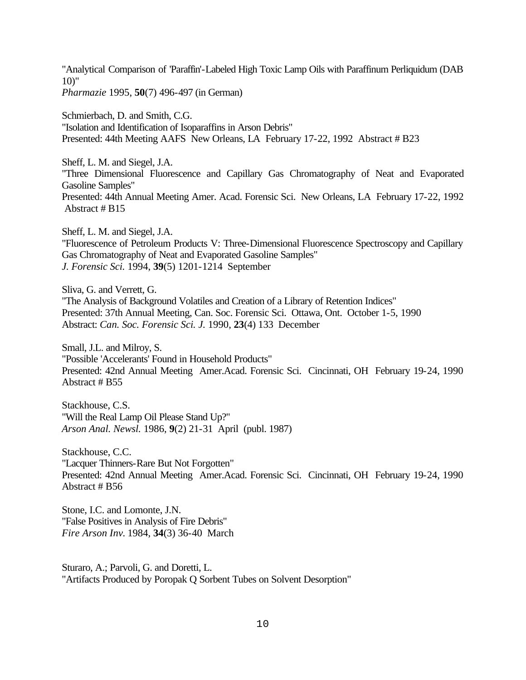"Analytical Comparison of 'Paraffin'-Labeled High Toxic Lamp Oils with Paraffinum Perliquidum (DAB  $10$ " *Pharmazie* 1995, **50**(7) 496-497 (in German)

Schmierbach, D. and Smith, C.G. "Isolation and Identification of Isoparaffins in Arson Debris" Presented: 44th Meeting AAFS New Orleans, LA February 17-22, 1992 Abstract # B23

Sheff, L. M. and Siegel, J.A. "Three Dimensional Fluorescence and Capillary Gas Chromatography of Neat and Evaporated Gasoline Samples" Presented: 44th Annual Meeting Amer. Acad. Forensic Sci. New Orleans, LA February 17-22, 1992 Abstract # B15

Sheff, L. M. and Siegel, J.A. "Fluorescence of Petroleum Products V: Three-Dimensional Fluorescence Spectroscopy and Capillary Gas Chromatography of Neat and Evaporated Gasoline Samples" *J. Forensic Sci.* 1994, **39**(5) 1201-1214 September

Sliva, G. and Verrett, G. "The Analysis of Background Volatiles and Creation of a Library of Retention Indices" Presented: 37th Annual Meeting, Can. Soc. Forensic Sci. Ottawa, Ont. October 1-5, 1990 Abstract: *Can. Soc. Forensic Sci. J.* 1990, **23**(4) 133 December

Small, J.L. and Milroy, S. "Possible 'Accelerants' Found in Household Products" Presented: 42nd Annual Meeting Amer.Acad. Forensic Sci. Cincinnati, OH February 19-24, 1990 Abstract # B55

Stackhouse, C.S. "Will the Real Lamp Oil Please Stand Up?" *Arson Anal. Newsl.* 1986, **9**(2) 21-31 April (publ. 1987)

Stackhouse, C.C. "Lacquer Thinners-Rare But Not Forgotten" Presented: 42nd Annual Meeting Amer.Acad. Forensic Sci. Cincinnati, OH February 19-24, 1990 Abstract # B56

Stone, I.C. and Lomonte, J.N. "False Positives in Analysis of Fire Debris" *Fire Arson Inv.* 1984, **34**(3) 36-40 March

Sturaro, A.; Parvoli, G. and Doretti, L. "Artifacts Produced by Poropak Q Sorbent Tubes on Solvent Desorption"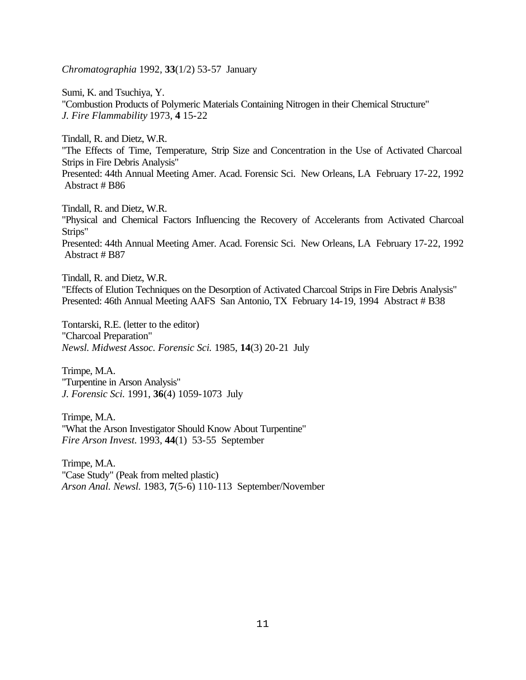*Chromatographia* 1992, **33**(1/2) 53-57 January

Sumi, K. and Tsuchiya, Y. "Combustion Products of Polymeric Materials Containing Nitrogen in their Chemical Structure" *J. Fire Flammability* 1973, **4** 15-22

Tindall, R. and Dietz, W.R. "The Effects of Time, Temperature, Strip Size and Concentration in the Use of Activated Charcoal Strips in Fire Debris Analysis" Presented: 44th Annual Meeting Amer. Acad. Forensic Sci. New Orleans, LA February 17-22, 1992 Abstract # B86

Tindall, R. and Dietz, W.R. "Physical and Chemical Factors Influencing the Recovery of Accelerants from Activated Charcoal Strips" Presented: 44th Annual Meeting Amer. Acad. Forensic Sci. New Orleans, LA February 17-22, 1992 Abstract # B87

Tindall, R. and Dietz, W.R. "Effects of Elution Techniques on the Desorption of Activated Charcoal Strips in Fire Debris Analysis" Presented: 46th Annual Meeting AAFS San Antonio, TX February 14-19, 1994 Abstract # B38

Tontarski, R.E. (letter to the editor) "Charcoal Preparation" *Newsl. Midwest Assoc. Forensic Sci.* 1985, **14**(3) 20-21 July

Trimpe, M.A. "Turpentine in Arson Analysis" *J. Forensic Sci.* 1991, **36**(4) 1059-1073 July

Trimpe, M.A. "What the Arson Investigator Should Know About Turpentine" *Fire Arson Invest.* 1993, **44**(1) 53-55 September

Trimpe, M.A. "Case Study" (Peak from melted plastic) *Arson Anal. Newsl.* 1983, **7**(5-6) 110-113 September/November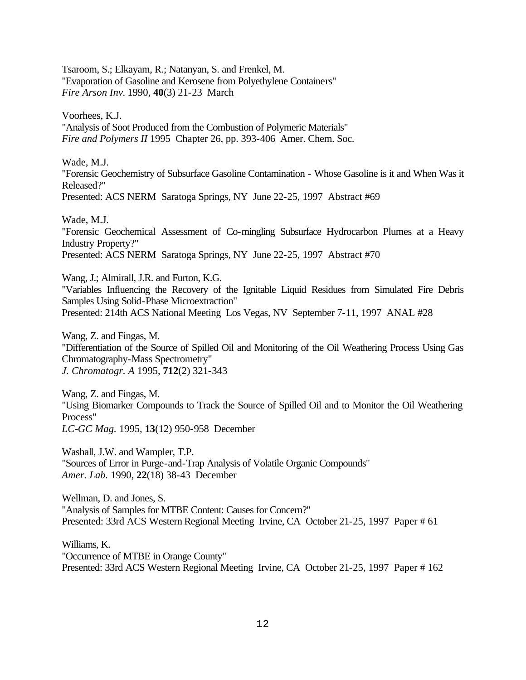Tsaroom, S.; Elkayam, R.; Natanyan, S. and Frenkel, M. "Evaporation of Gasoline and Kerosene from Polyethylene Containers" *Fire Arson Inv.* 1990, **40**(3) 21-23 March

Voorhees, K.J. "Analysis of Soot Produced from the Combustion of Polymeric Materials" *Fire and Polymers II* 1995 Chapter 26, pp. 393-406 Amer. Chem. Soc.

Wade, M.J. "Forensic Geochemistry of Subsurface Gasoline Contamination - Whose Gasoline is it and When Was it Released?" Presented: ACS NERM Saratoga Springs, NY June 22-25, 1997 Abstract #69

Wade, M.J. "Forensic Geochemical Assessment of Co-mingling Subsurface Hydrocarbon Plumes at a Heavy Industry Property?" Presented: ACS NERM Saratoga Springs, NY June 22-25, 1997 Abstract #70

Wang, J.; Almirall, J.R. and Furton, K.G. "Variables Influencing the Recovery of the Ignitable Liquid Residues from Simulated Fire Debris Samples Using Solid-Phase Microextraction" Presented: 214th ACS National Meeting Los Vegas, NV September 7-11, 1997 ANAL #28

Wang, Z. and Fingas, M. "Differentiation of the Source of Spilled Oil and Monitoring of the Oil Weathering Process Using Gas Chromatography-Mass Spectrometry" *J. Chromatogr. A* 1995, **712**(2) 321-343

Wang, Z. and Fingas, M. "Using Biomarker Compounds to Track the Source of Spilled Oil and to Monitor the Oil Weathering Process" *LC-GC Mag.* 1995, **13**(12) 950-958 December

Washall, J.W. and Wampler, T.P. "Sources of Error in Purge-and-Trap Analysis of Volatile Organic Compounds" *Amer. Lab.* 1990, **22**(18) 38-43 December

Wellman, D. and Jones, S. "Analysis of Samples for MTBE Content: Causes for Concern?" Presented: 33rd ACS Western Regional Meeting Irvine, CA October 21-25, 1997 Paper # 61

Williams, K. "Occurrence of MTBE in Orange County" Presented: 33rd ACS Western Regional Meeting Irvine, CA October 21-25, 1997 Paper # 162